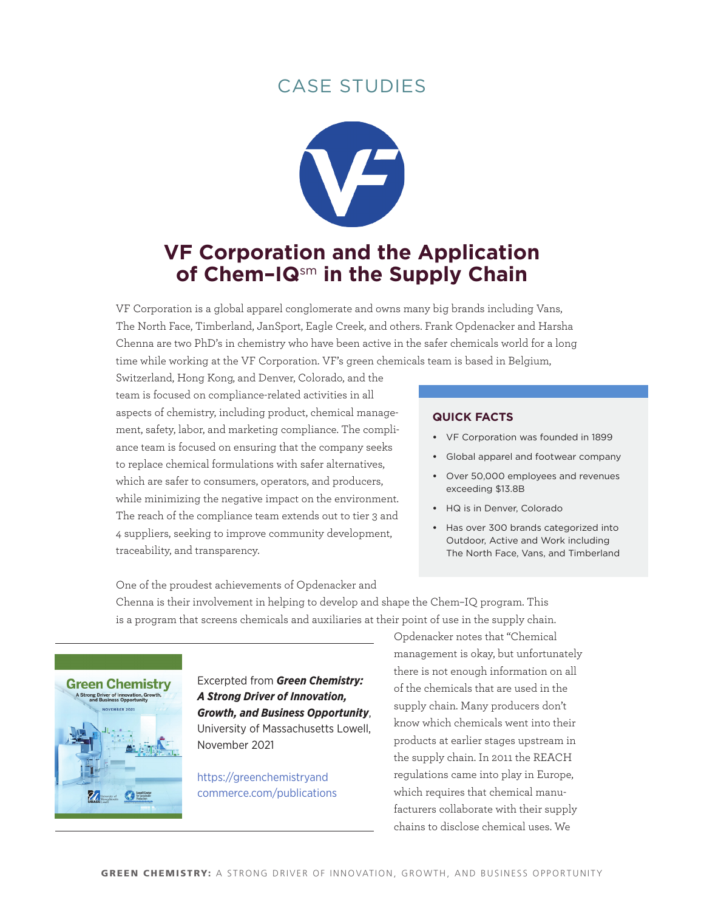

# **VF Corporation and the Application of Chem–IQ**sm **in the Supply Chain**

VF Corporation is a global apparel conglomerate and owns many big brands including Vans, The North Face, Timberland, JanSport, Eagle Creek, and others. Frank Opdenacker and Harsha Chenna are two PhD's in chemistry who have been active in the safer chemicals world for a long time while working at the VF Corporation. VF's green chemicals team is based in Belgium,

Switzerland, Hong Kong, and Denver, Colorado, and the team is focused on compliance-related activities in all aspects of chemistry, including product, chemical management, safety, labor, and marketing compliance. The compliance team is focused on ensuring that the company seeks to replace chemical formulations with safer alternatives, which are safer to consumers, operators, and producers, while minimizing the negative impact on the environment. The reach of the compliance team extends out to tier 3 and 4 suppliers, seeking to improve community development, traceability, and transparency.

#### **quick Facts**

- **•**  VF Corporation was founded in 1899
- **•**  Global apparel and footwear company
- **•**  Over 50,000 employees and revenues exceeding \$13.8B
- **•**  HQ is in Denver, Colorado
- **•**  Has over 300 brands categorized into Outdoor, Active and Work including The North Face, Vans, and Timberland

One of the proudest achievements of Opdenacker and Chenna is their involvement in helping to develop and shape the Chem–IQ program. This is a program that screens chemicals and auxiliaries at their point of use in the supply chain.



Excerpted from *Green Chemistry: A Strong Driver of Innovation, Growth, and Business Opportunity*, University of Massachusetts Lowell, November 2021

[https://greenchemistryand](https://greenchemistryandcommerce.com/publications) [commerce.com/publications](https://greenchemistryandcommerce.com/publications) Opdenacker notes that "Chemical management is okay, but unfortunately there is not enough information on all of the chemicals that are used in the supply chain. Many producers don't know which chemicals went into their products at earlier stages upstream in the supply chain. In 2011 the REACH regulations came into play in Europe, which requires that chemical manufacturers collaborate with their supply chains to disclose chemical uses. We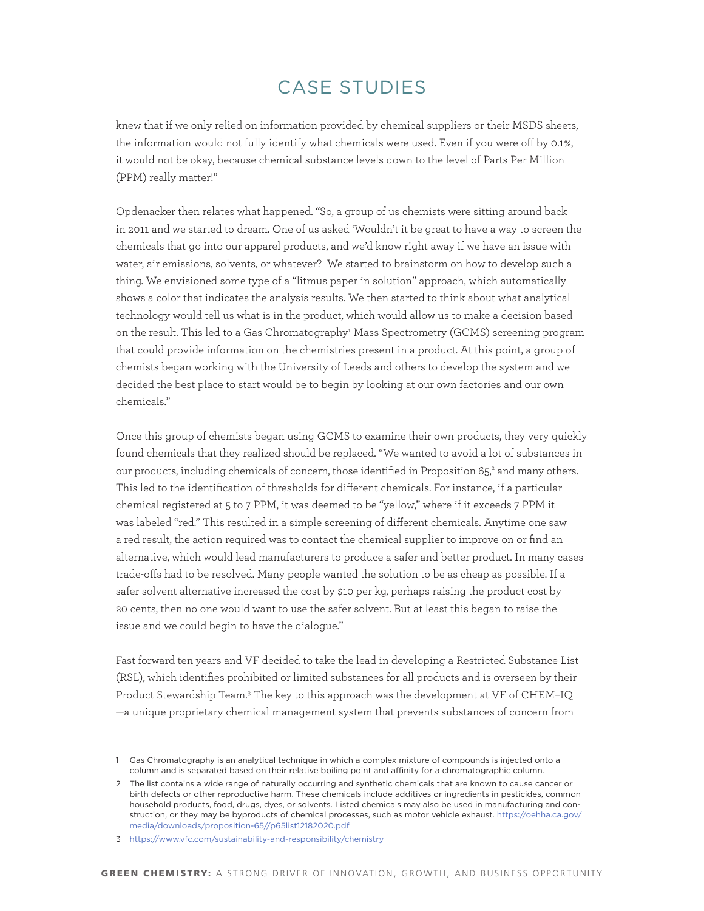knew that if we only relied on information provided by chemical suppliers or their MSDS sheets, the information would not fully identify what chemicals were used. Even if you were off by 0.1%, it would not be okay, because chemical substance levels down to the level of Parts Per Million (PPM) really matter!"

Opdenacker then relates what happened. "So, a group of us chemists were sitting around back in 2011 and we started to dream. One of us asked 'Wouldn't it be great to have a way to screen the chemicals that go into our apparel products, and we'd know right away if we have an issue with water, air emissions, solvents, or whatever? We started to brainstorm on how to develop such a thing. We envisioned some type of a "litmus paper in solution" approach, which automatically shows a color that indicates the analysis results. We then started to think about what analytical technology would tell us what is in the product, which would allow us to make a decision based on the result. This led to a Gas Chromatography<sup>1</sup> Mass Spectrometry (GCMS) screening program that could provide information on the chemistries present in a product. At this point, a group of chemists began working with the University of Leeds and others to develop the system and we decided the best place to start would be to begin by looking at our own factories and our own chemicals."

Once this group of chemists began using GCMS to examine their own products, they very quickly found chemicals that they realized should be replaced. "We wanted to avoid a lot of substances in our products, including chemicals of concern, those identified in Proposition 65,<sup>2</sup> and many others. This led to the identification of thresholds for different chemicals. For instance, if a particular chemical registered at 5 to 7 PPM, it was deemed to be "yellow," where if it exceeds 7 PPM it was labeled "red." This resulted in a simple screening of different chemicals. Anytime one saw a red result, the action required was to contact the chemical supplier to improve on or find an alternative, which would lead manufacturers to produce a safer and better product. In many cases trade-offs had to be resolved. Many people wanted the solution to be as cheap as possible. If a safer solvent alternative increased the cost by \$10 per kg, perhaps raising the product cost by 20 cents, then no one would want to use the safer solvent. But at least this began to raise the issue and we could begin to have the dialogue."

Fast forward ten years and VF decided to take the lead in developing a Restricted Substance List (RSL), which identifies prohibited or limited substances for all products and is overseen by their Product Stewardship Team.<sup>3</sup> The key to this approach was the development at VF of CHEM–IQ —a unique proprietary chemical management system that prevents substances of concern from

<sup>1</sup> Gas Chromatography is an analytical technique in which a complex mixture of compounds is injected onto a column and is separated based on their relative boiling point and affinity for a chromatographic column.

<sup>2</sup> The list contains a wide range of naturally occurring and synthetic chemicals that are known to cause cancer or birth defects or other reproductive harm. These chemicals include additives or ingredients in pesticides, common household products, food, drugs, dyes, or solvents. Listed chemicals may also be used in manufacturing and construction, or they may be byproducts of chemical processes, such as motor vehicle exhaust. [https://oehha.ca.gov/](https://oehha.ca.gov/media/downloads/proposition-65//p65list12182020.pdf) [media/downloads/proposition-65//p65list12182020.pdf](https://oehha.ca.gov/media/downloads/proposition-65//p65list12182020.pdf)

<sup>3</sup> <https://www.vfc.com/sustainability-and-responsibility/chemistry>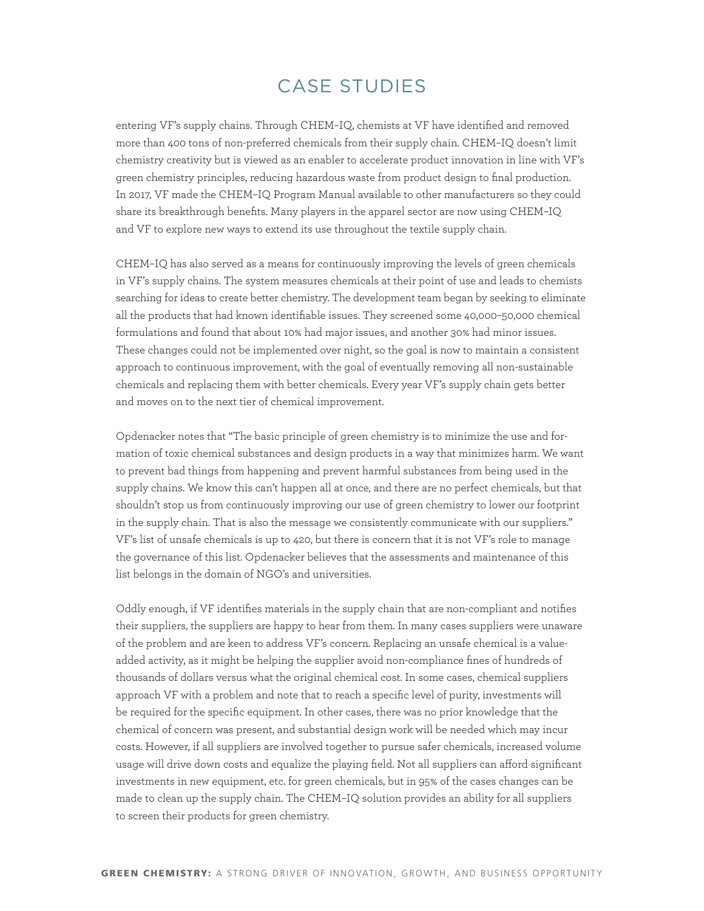entering VF's supply chains. Through CHEM–IQ, chemists at VF have identified and removed more than 400 tons of non-preferred chemicals from their supply chain. CHEM–IQ doesn't limit chemistry creativity but is viewed as an enabler to accelerate product innovation in line with VF's green chemistry principles, reducing hazardous waste from product design to final production. In 2017, VF made the CHEM–IQ Program Manual available to other manufacturers so they could share its breakthrough benefits. Many players in the apparel sector are now using CHEM–IQ and VF to explore new ways to extend its use throughout the textile supply chain.

CHEM–IQ has also served as a means for continuously improving the levels of green chemicals in VF's supply chains. The system measures chemicals at their point of use and leads to chemists searching for ideas to create better chemistry. The development team began by seeking to eliminate all the products that had known identifiable issues. They screened some 40,000–50,000 chemical formulations and found that about 10% had major issues, and another 30% had minor issues. These changes could not be implemented over night, so the goal is now to maintain a consistent approach to continuous improvement, with the goal of eventually removing all non-sustainable chemicals and replacing them with better chemicals. Every year VF's supply chain gets better and moves on to the next tier of chemical improvement.

Opdenacker notes that "The basic principle of green chemistry is to minimize the use and formation of toxic chemical substances and design products in a way that minimizes harm. We want to prevent bad things from happening and prevent harmful substances from being used in the supply chains. We know this can't happen all at once, and there are no perfect chemicals, but that shouldn't stop us from continuously improving our use of green chemistry to lower our footprint in the supply chain. That is also the message we consistently communicate with our suppliers." VF's list of unsafe chemicals is up to 420, but there is concern that it is not VF's role to manage the governance of this list. Opdenacker believes that the assessments and maintenance of this list belongs in the domain of NGO's and universities.

Oddly enough, if VF identifies materials in the supply chain that are non-compliant and notifies their suppliers, the suppliers are happy to hear from them. In many cases suppliers were unaware of the problem and are keen to address VF's concern. Replacing an unsafe chemical is a valueadded activity, as it might be helping the supplier avoid non-compliance fines of hundreds of thousands of dollars versus what the original chemical cost. In some cases, chemical suppliers approach VF with a problem and note that to reach a specific level of purity, investments will be required for the specific equipment. In other cases, there was no prior knowledge that the chemical of concern was present, and substantial design work will be needed which may incur costs. However, if all suppliers are involved together to pursue safer chemicals, increased volume usage will drive down costs and equalize the playing field. Not all suppliers can afford significant investments in new equipment, etc. for green chemicals, but in 95% of the cases changes can be made to clean up the supply chain. The CHEM–IQ solution provides an ability for all suppliers to screen their products for green chemistry.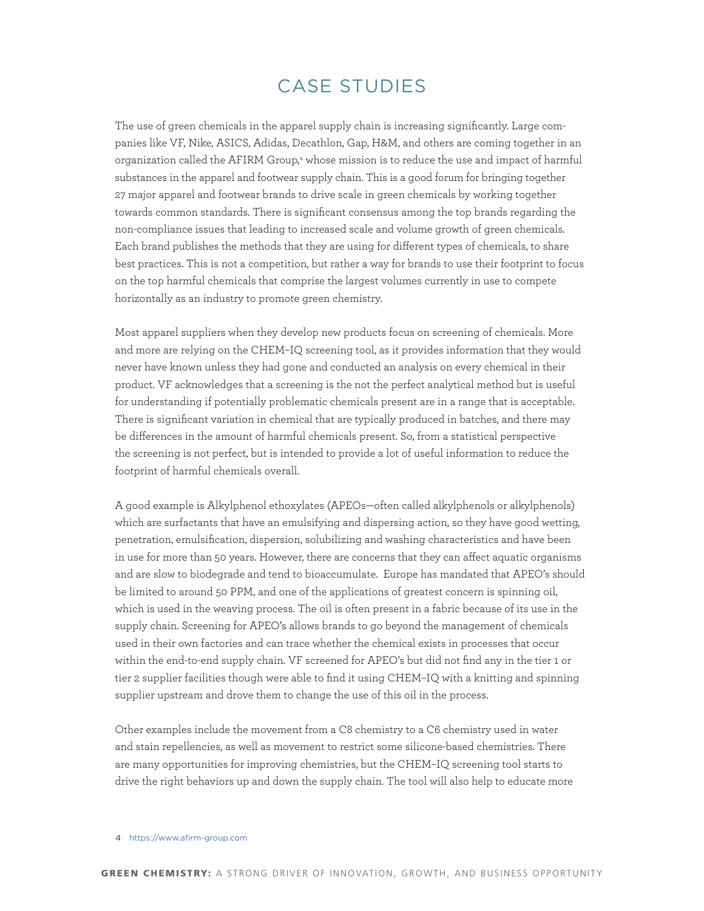The use of green chemicals in the apparel supply chain is increasing significantly. Large companies like VF, Nike, ASICS, Adidas, Decathlon, Gap, H&M, and others are coming together in an organization called the AFIRM Group,<sup>4</sup> whose mission is to reduce the use and impact of harmful substances in the apparel and footwear supply chain. This is a good forum for bringing together 27 major apparel and footwear brands to drive scale in green chemicals by working together towards common standards. There is significant consensus among the top brands regarding the non-compliance issues that leading to increased scale and volume growth of green chemicals. Each brand publishes the methods that they are using for different types of chemicals, to share best practices. This is not a competition, but rather a way for brands to use their footprint to focus on the top harmful chemicals that comprise the largest volumes currently in use to compete horizontally as an industry to promote green chemistry.

Most apparel suppliers when they develop new products focus on screening of chemicals. More and more are relying on the CHEM–IQ screening tool, as it provides information that they would never have known unless they had gone and conducted an analysis on every chemical in their product. VF acknowledges that a screening is the not the perfect analytical method but is useful for understanding if potentially problematic chemicals present are in a range that is acceptable. There is significant variation in chemical that are typically produced in batches, and there may be differences in the amount of harmful chemicals present. So, from a statistical perspective the screening is not perfect, but is intended to provide a lot of useful information to reduce the footprint of harmful chemicals overall.

A good example is Alkylphenol ethoxylates (APEOs—often called alkylphenols or alkylphenols) which are surfactants that have an emulsifying and dispersing action, so they have good wetting, penetration, emulsification, dispersion, solubilizing and washing characteristics and have been in use for more than 50 years. However, there are concerns that they can affect aquatic organisms and are slow to biodegrade and tend to bioaccumulate. Europe has mandated that APEO's should be limited to around 50 PPM, and one of the applications of greatest concern is spinning oil, which is used in the weaving process. The oil is often present in a fabric because of its use in the supply chain. Screening for APEO's allows brands to go beyond the management of chemicals used in their own factories and can trace whether the chemical exists in processes that occur within the end-to-end supply chain. VF screened for APEO's but did not find any in the tier 1 or tier 2 supplier facilities though were able to find it using CHEM–IQ with a knitting and spinning supplier upstream and drove them to change the use of this oil in the process.

Other examples include the movement from a C8 chemistry to a C6 chemistry used in water and stain repellencies, as well as movement to restrict some silicone-based chemistries. There are many opportunities for improving chemistries, but the CHEM–IQ screening tool starts to drive the right behaviors up and down the supply chain. The tool will also help to educate more

#### 4 <https://www.afirm-group.com>